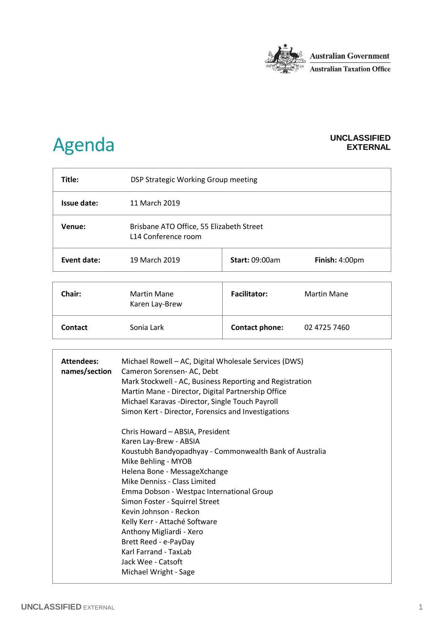

## Agenda **UNCLASSIFIED**

## **EXTERNAL**

| Title:      | DSP Strategic Working Group meeting                             |                       |                    |
|-------------|-----------------------------------------------------------------|-----------------------|--------------------|
| Issue date: | 11 March 2019                                                   |                       |                    |
| Venue:      | Brisbane ATO Office, 55 Elizabeth Street<br>L14 Conference room |                       |                    |
| Event date: | 19 March 2019                                                   | <b>Start: 09:00am</b> | Finish: 4:00pm     |
| Chair:      | Martin Mane<br>Karen Lay-Brew                                   | <b>Facilitator:</b>   | <b>Martin Mane</b> |

**Contact Contact** Sonia Lark **Contact phone:** 02 4725 7460

| <b>Attendees:</b><br>names/section | Michael Rowell – AC, Digital Wholesale Services (DWS)<br>Cameron Sorensen- AC, Debt<br>Mark Stockwell - AC, Business Reporting and Registration<br>Martin Mane - Director, Digital Partnership Office<br>Michael Karavas -Director, Single Touch Payroll<br>Simon Kert - Director, Forensics and Investigations |
|------------------------------------|-----------------------------------------------------------------------------------------------------------------------------------------------------------------------------------------------------------------------------------------------------------------------------------------------------------------|
|                                    | Chris Howard - ABSIA, President                                                                                                                                                                                                                                                                                 |
|                                    | Karen Lay-Brew - ABSIA                                                                                                                                                                                                                                                                                          |
|                                    | Koustubh Bandyopadhyay - Commonwealth Bank of Australia                                                                                                                                                                                                                                                         |
|                                    | Mike Behling - MYOB                                                                                                                                                                                                                                                                                             |
|                                    | Helena Bone - MessageXchange                                                                                                                                                                                                                                                                                    |
|                                    | Mike Denniss - Class Limited                                                                                                                                                                                                                                                                                    |
|                                    | Emma Dobson - Westpac International Group                                                                                                                                                                                                                                                                       |
|                                    | Simon Foster - Squirrel Street                                                                                                                                                                                                                                                                                  |
|                                    | Kevin Johnson - Reckon                                                                                                                                                                                                                                                                                          |
|                                    | Kelly Kerr - Attaché Software                                                                                                                                                                                                                                                                                   |
|                                    | Anthony Migliardi - Xero                                                                                                                                                                                                                                                                                        |
|                                    | Brett Reed - e-PayDay                                                                                                                                                                                                                                                                                           |
|                                    | Karl Farrand - TaxLab                                                                                                                                                                                                                                                                                           |
|                                    | Jack Wee - Catsoft                                                                                                                                                                                                                                                                                              |
|                                    | Michael Wright - Sage                                                                                                                                                                                                                                                                                           |
|                                    |                                                                                                                                                                                                                                                                                                                 |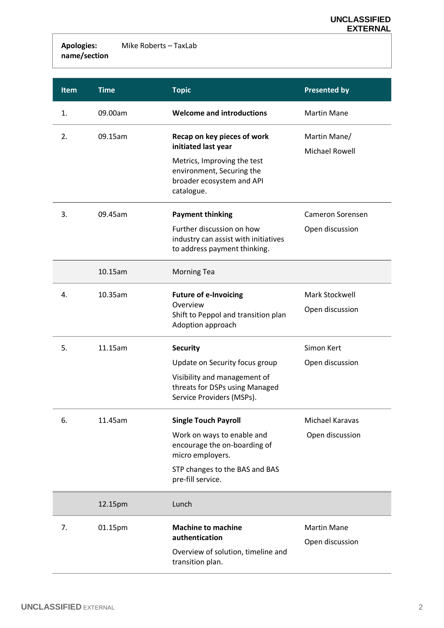**Apologies: name/section** Mike Roberts – TaxLab

| <b>Item</b> | <b>Time</b> | <b>Topic</b>                                                                                        | <b>Presented by</b>                   |
|-------------|-------------|-----------------------------------------------------------------------------------------------------|---------------------------------------|
| 1.          | 09.00am     | <b>Welcome and introductions</b>                                                                    | <b>Martin Mane</b>                    |
| 2.          | 09.15am     | Recap on key pieces of work<br>initiated last year                                                  | Martin Mane/<br><b>Michael Rowell</b> |
|             |             | Metrics, Improving the test<br>environment, Securing the<br>broader ecosystem and API<br>catalogue. |                                       |
| 3.          | 09.45am     | <b>Payment thinking</b>                                                                             | <b>Cameron Sorensen</b>               |
|             |             | Further discussion on how<br>industry can assist with initiatives<br>to address payment thinking.   | Open discussion                       |
|             | 10.15am     | <b>Morning Tea</b>                                                                                  |                                       |
| 4.          | 10.35am     | <b>Future of e-Invoicing</b>                                                                        | Mark Stockwell                        |
|             |             | Overview<br>Shift to Peppol and transition plan<br>Adoption approach                                | Open discussion                       |
| 5.          | 11.15am     | <b>Security</b>                                                                                     | Simon Kert                            |
|             |             | Update on Security focus group                                                                      | Open discussion                       |
|             |             | Visibility and management of<br>threats for DSPs using Managed<br>Service Providers (MSPs).         |                                       |
| 6.          | 11.45am     | <b>Single Touch Payroll</b>                                                                         | Michael Karavas                       |
|             |             | Work on ways to enable and<br>encourage the on-boarding of<br>micro employers.                      | Open discussion                       |
|             |             | STP changes to the BAS and BAS<br>pre-fill service.                                                 |                                       |
|             | 12.15pm     | Lunch                                                                                               |                                       |
| 7.          | 01.15pm     | <b>Machine to machine</b><br>authentication                                                         | <b>Martin Mane</b>                    |
|             |             | Overview of solution, timeline and<br>transition plan.                                              | Open discussion                       |